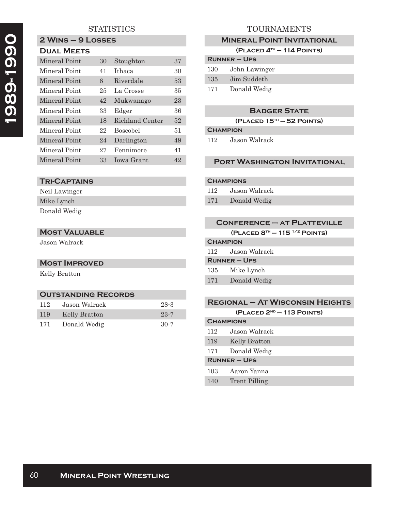# **1989-1990**  1989-1990

# **STATISTICS**

#### **2 Wins – 9 Losses Dual Meets**

| 30 | Stoughton       | 37 |
|----|-----------------|----|
| 41 | Ithaca          | 30 |
| 6  | Riverdale       | 53 |
| 25 | La Crosse       | 35 |
| 42 | Mukwanago       | 23 |
| 33 | Edger           | 36 |
| 18 | Richland Center | 52 |
| 22 | <b>Boscobel</b> | 51 |
| 24 | Darlington      | 49 |
| 27 | Fennimore       | 41 |
| 33 | Jowa Grant      | 42 |
|    |                 |    |

### **Tri-Captains**

Neil Lawinger Mike Lynch Donald Wedig

#### **Most Valuable**

Jason Walrack

#### **Most Improved**

Kelly Bratton

#### **Outstanding Records**

| 112            | Jason Walrack | $28 - 3$ |
|----------------|---------------|----------|
| <sup>119</sup> | Kelly Bratton | $23 - 7$ |
| 171            | Donald Wedig  | $30-7$   |

# TOURNAMENTS

#### **Mineral Point Invitational**

**(Placed 4th — 114 Points)**

| <b>RUNNER - UPS</b> |               |  |
|---------------------|---------------|--|
| 130                 | John Lawinger |  |
| 135                 | Jim Suddeth   |  |
| 171                 | Donald Wedig  |  |

#### **Badger State**

**(Placed 15th — 52 Points)**

#### **Champion**

112 Jason Walrack

#### **Port Washington Invitational**

#### **Champions**

- 112 Jason Walrack
- 171 Donald Wedig

| <b>CONFERENCE - AT PLATTEVILLE</b>            |  |  |
|-----------------------------------------------|--|--|
| (PLACED $8^{th}$ – 115 <sup>1/2</sup> POINTS) |  |  |
| <b>CHAMPION</b>                               |  |  |
| Jason Walrack<br>112                          |  |  |
| $R$ UNNER – UPS                               |  |  |
|                                               |  |  |

# 135 Mike Lynch

#### **Regional – At Wisconsin Heights (Placed 2nd — 113 Points)**

| <b>CHAMPIONS</b>  |               |  |
|-------------------|---------------|--|
| 112               | Jason Walrack |  |
| 119               | Kelly Bratton |  |
| 171               | Donald Wedig  |  |
| <b>RUNNER-UPS</b> |               |  |
| 103               | Aaron Yanna   |  |
| 140               | Trent Pilling |  |